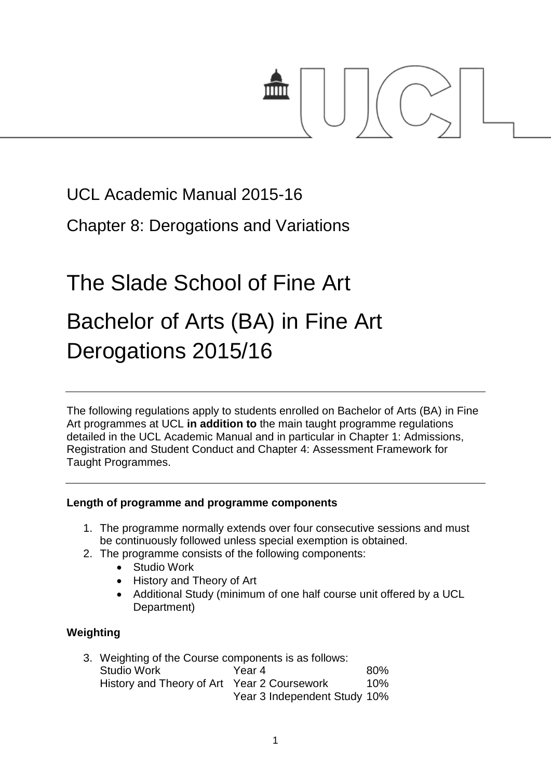

# UCL Academic Manual 2015-16

Chapter 8: Derogations and Variations

# The Slade School of Fine Art Bachelor of Arts (BA) in Fine Art Derogations 2015/16

The following regulations apply to students enrolled on Bachelor of Arts (BA) in Fine Art programmes at UCL **in addition to** the main taught programme regulations detailed in the UCL Academic Manual and in particular in Chapter 1: Admissions, Registration and Student Conduct and Chapter 4: Assessment Framework for Taught Programmes.

## **Length of programme and programme components**

- 1. The programme normally extends over four consecutive sessions and must be continuously followed unless special exemption is obtained.
- 2. The programme consists of the following components:
	- Studio Work
	- History and Theory of Art
	- Additional Study (minimum of one half course unit offered by a UCL Department)

# **Weighting**

| 3. Weighting of the Course components is as follows: |                              |     |
|------------------------------------------------------|------------------------------|-----|
| <b>Studio Work</b>                                   | Year 4                       | 80% |
| History and Theory of Art Year 2 Coursework          |                              | 10% |
|                                                      | Year 3 Independent Study 10% |     |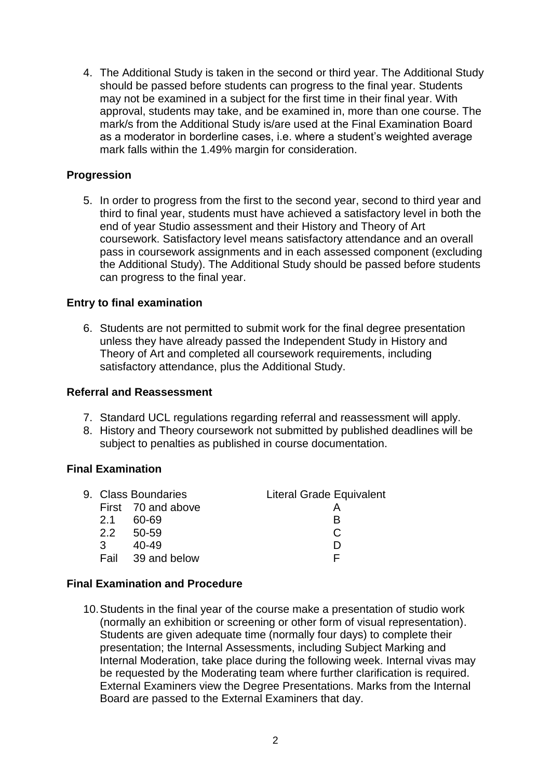4. The Additional Study is taken in the second or third year. The Additional Study should be passed before students can progress to the final year. Students may not be examined in a subject for the first time in their final year. With approval, students may take, and be examined in, more than one course. The mark/s from the Additional Study is/are used at the Final Examination Board as a moderator in borderline cases, i.e. where a student's weighted average mark falls within the 1.49% margin for consideration.

#### **Progression**

5. In order to progress from the first to the second year, second to third year and third to final year, students must have achieved a satisfactory level in both the end of year Studio assessment and their History and Theory of Art coursework. Satisfactory level means satisfactory attendance and an overall pass in coursework assignments and in each assessed component (excluding the Additional Study). The Additional Study should be passed before students can progress to the final year.

#### **Entry to final examination**

6. Students are not permitted to submit work for the final degree presentation unless they have already passed the Independent Study in History and Theory of Art and completed all coursework requirements, including satisfactory attendance, plus the Additional Study.

#### **Referral and Reassessment**

- 7. Standard UCL regulations regarding referral and reassessment will apply.
- 8. History and Theory coursework not submitted by published deadlines will be subject to penalties as published in course documentation.

#### **Final Examination**

|               | 9. Class Boundaries | <b>Literal Grade Equivalent</b> |
|---------------|---------------------|---------------------------------|
|               | First 70 and above  |                                 |
| 2.1           | 60-69               | R                               |
|               | $2.2$ 50-59         |                                 |
| $\mathcal{R}$ | 40-49               |                                 |
|               | Fail 39 and below   | ⊢                               |
|               |                     |                                 |

#### **Final Examination and Procedure**

10.Students in the final year of the course make a presentation of studio work (normally an exhibition or screening or other form of visual representation). Students are given adequate time (normally four days) to complete their presentation; the Internal Assessments, including Subject Marking and Internal Moderation, take place during the following week. Internal vivas may be requested by the Moderating team where further clarification is required. External Examiners view the Degree Presentations. Marks from the Internal Board are passed to the External Examiners that day.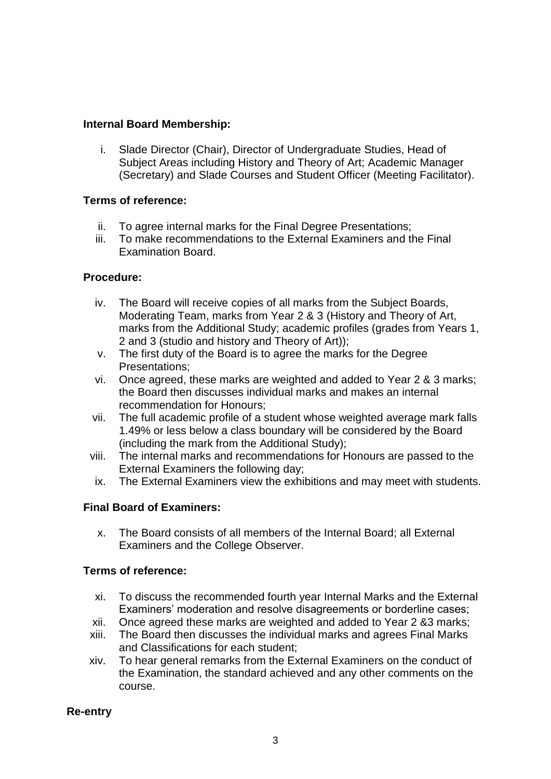#### **Internal Board Membership:**

i. Slade Director (Chair), Director of Undergraduate Studies, Head of Subject Areas including History and Theory of Art; Academic Manager (Secretary) and Slade Courses and Student Officer (Meeting Facilitator).

#### **Terms of reference:**

- ii. To agree internal marks for the Final Degree Presentations;
- iii. To make recommendations to the External Examiners and the Final Examination Board.

#### **Procedure:**

- iv. The Board will receive copies of all marks from the Subject Boards, Moderating Team, marks from Year 2 & 3 (History and Theory of Art, marks from the Additional Study; academic profiles (grades from Years 1, 2 and 3 (studio and history and Theory of Art));
- v. The first duty of the Board is to agree the marks for the Degree Presentations;
- vi. Once agreed, these marks are weighted and added to Year 2 & 3 marks; the Board then discusses individual marks and makes an internal recommendation for Honours;
- vii. The full academic profile of a student whose weighted average mark falls 1.49% or less below a class boundary will be considered by the Board (including the mark from the Additional Study);
- viii. The internal marks and recommendations for Honours are passed to the External Examiners the following day;
- ix. The External Examiners view the exhibitions and may meet with students.

## **Final Board of Examiners:**

x. The Board consists of all members of the Internal Board; all External Examiners and the College Observer.

#### **Terms of reference:**

- xi. To discuss the recommended fourth year Internal Marks and the External Examiners' moderation and resolve disagreements or borderline cases;
- xii. Once agreed these marks are weighted and added to Year 2 &3 marks;
- xiii. The Board then discusses the individual marks and agrees Final Marks and Classifications for each student;
- xiv. To hear general remarks from the External Examiners on the conduct of the Examination, the standard achieved and any other comments on the course.

#### **Re-entry**